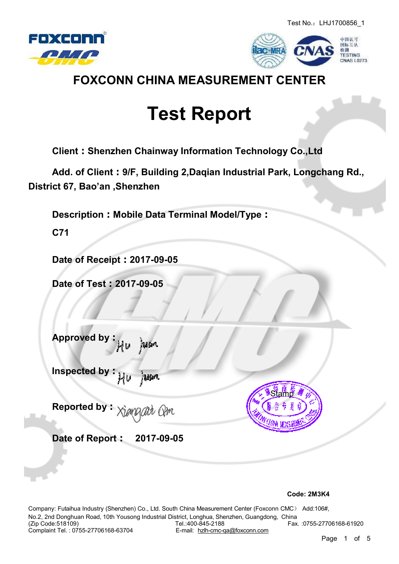



### **FOXCONN CHINA MEASUREMENT CENTER**

# **Test Report**

**Client:Shenzhen Chainway Information Technology Co.,Ltd**

**Add. of Client:9/F, Building 2,Daqian Industrial Park, Longchang Rd., District 67, Bao'an ,Shenzhen**

**Description:Mobile Data Terminal Model/Type:**

**C71**

**Date of Receipt:2017-09-05** 

**Date of Test:2017-09-05**

**Approved by: Justin** i ta

**Inspected by:** uun

**Reported by:** rain Qim

**Date of Report: 2017-09-05**



**Code: 2M3K4**

Company: Futaihua Industry (Shenzhen) Co., Ltd. South China Measurement Center (Foxconn CMC) Add:106#, No.2, 2nd Donghuan Road, 10th Yousong Industrial District, Longhua, Shenzhen, Guangdong, China Tel.:400-845-2188 Fax. :0755-27706168-61920<br>E-mail: hzlh-cmc-qa@foxconn.com Complaint Tel.: 0755-27706168-63704

Page 1 of 5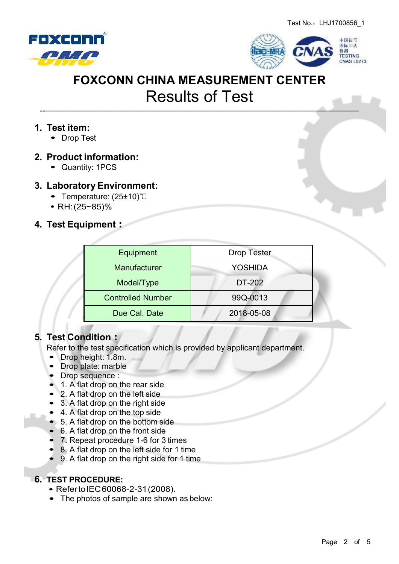



--———————————————————————————————————————

#### **1. Test item:**

• Drop Test

#### **2. Product information:**

Quantity: 1PCS

#### **3. Laboratory Environment:**

- Temperature: (25±10)℃
- RH:(25~85)%

#### **4. Test Equipment:**

| Equipment                | <b>Drop Tester</b> |  |  |
|--------------------------|--------------------|--|--|
| Manufacturer             | <b>YOSHIDA</b>     |  |  |
| Model/Type               | DT-202             |  |  |
| <b>Controlled Number</b> | 99Q-0013           |  |  |
| Due Cal. Date            | 2018-05-08         |  |  |

#### **5. Test Condition:**

Refer to the test specification which is provided by applicant department.

- Drop height: 1.8m.
- Drop plate: marble
- Drop sequence :
- 1. A flat drop on the rear side
- 2. A flat drop on the left side
- 3. A flat drop on the right side
- 4. A flat drop on the top side
- 5. A flat drop on the bottom side
- 6. A flat drop on the front side
- 7. Repeat procedure 1-6 for 3 times
- 8. A flat drop on the left side for 1 time
- 9. A flat drop on the right side for 1 time

#### **6. TEST PROCEDURE:**

- RefertoIEC60068-2-31(2008).
- The photos of sample are shown as below: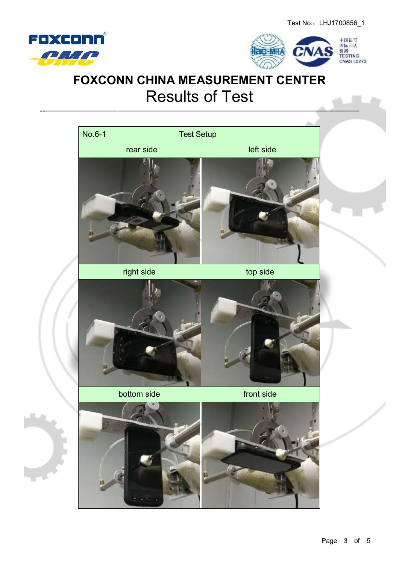



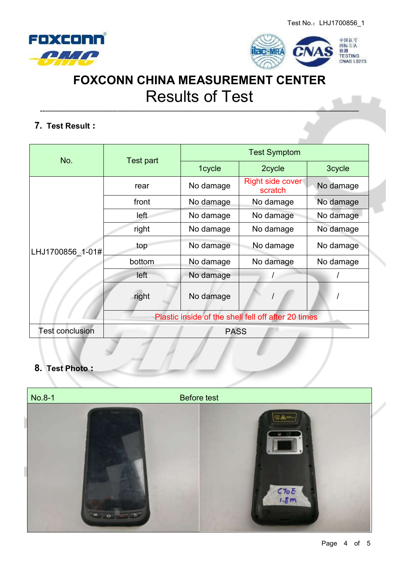



--———————————————————————————————————————

#### **7. Test Result:**

| No.                    | Test part                                           | <b>Test Symptom</b> |                             |           |  |
|------------------------|-----------------------------------------------------|---------------------|-----------------------------|-----------|--|
|                        |                                                     | 1cycle              | 2cycle                      | 3cycle    |  |
| LHJ1700856 1-01#       | rear                                                | No damage           | Right side cover<br>scratch | No damage |  |
|                        | front                                               | No damage           | No damage                   | No damage |  |
|                        | left                                                | No damage           | No damage                   | No damage |  |
|                        | right                                               | No damage           | No damage                   | No damage |  |
|                        | top                                                 | No damage           | No damage                   | No damage |  |
|                        | bottom                                              | No damage           | No damage                   | No damage |  |
|                        | left                                                | No damage           |                             |           |  |
|                        | right                                               | No damage           |                             |           |  |
|                        | Plastic inside of the shell fell off after 20 times |                     |                             |           |  |
| <b>Test conclusion</b> | <b>PASS</b>                                         |                     |                             |           |  |

#### **8. Test Photo:**